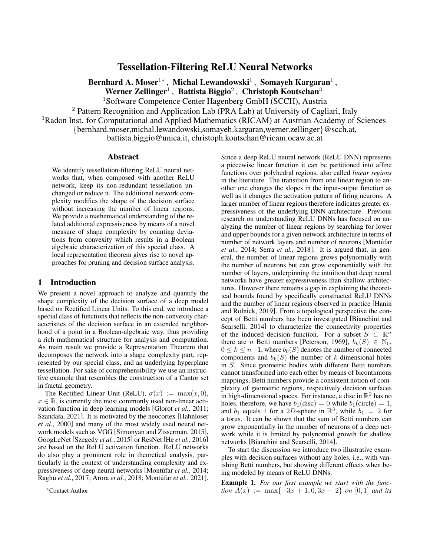# Tessellation-Filtering ReLU Neural Networks

Bernhard A. Moser $^{1\ast}$  , Michal Lewandowski $^{1}$  , Somayeh Kargaran $^{1}$  , Werner Zellinger<sup>1</sup>, Battista Biggio<sup>2</sup>, Christoph Koutschan<sup>3</sup> <sup>1</sup>Software Competence Center Hagenberg GmbH (SCCH), Austria

<sup>2</sup> Pattern Recognition and Application Lab (PRA Lab) at University of Cagliari, Italy

<sup>3</sup>Radon Inst. for Computational and Applied Mathematics (RICAM) at Austrian Academy of Sciences

{bernhard.moser,michal.lewandowski,somayeh.kargaran,werner.zellinger}@scch.at,

battista.biggio@unica.it, christoph.koutschan@ricam.oeaw.ac.at

# Abstract

We identify tessellation-filtering ReLU neural networks that, when composed with another ReLU network, keep its non-redundant tessellation unchanged or reduce it. The additional network complexity modifies the shape of the decision surface without increasing the number of linear regions. We provide a mathematical understanding of the related additional expressiveness by means of a novel measure of shape complexity by counting deviations from convexity which results in a Boolean algebraic characterization of this special class. A local representation theorem gives rise to novel approaches for pruning and decision surface analysis.

# 1 Introduction

We present a novel approach to analyze and quantify the shape complexity of the decision surface of a deep model based on Rectified Linear Units. To this end, we introduce a special class of functions that reflects the non-convexity characteristics of the decision surface in an extended neighborhood of a point in a Boolean-algebraic way, thus providing a rich mathematical structure for analysis and computation. As main result we provide a Representation Theorem that decomposes the network into a shape complexity part, represented by our special class, and an underlying hyperplane tessellation. For sake of comprehensibility we use an instructive example that resembles the construction of a Cantor set in fractal geometry.

The Rectified Linear Unit (ReLU),  $\sigma(x) := \max(x, 0)$ ,  $x \in \mathbb{R}$ , is currently the most commonly used non-linear activation function in deep learning models [\[Glorot](#page-6-0) *et al.*, 2011; [Szandała, 2021\]](#page-6-1). It is motivated by the neocortex [\[Hahnloser](#page-6-2) *et al.*[, 2000\]](#page-6-2) and many of the most widely used neural network models such as VGG [\[Simonyan and Zisserman, 2015\]](#page-6-3), GoogLeNet [\[Szegedy](#page-6-4) *et al.*, 2015] or ResNet [He *et al.*[, 2016\]](#page-6-5) are based on the ReLU activation function. ReLU networks do also play a prominent role in theoretical analysis, particularly in the context of understanding complexity and expressiveness of deep neural networks [Montúfar *et al.*, 2014; [Raghu](#page-6-7) *et al.*, 2017; Arora *et al.*[, 2018;](#page-6-8) Montúfar *et al.*, 2021]. Since a deep ReLU neural network (ReLU DNN) represents a piecewise linear function it can be partitioned into affine functions over polyhedral regions, also called *linear regions* in the literature. The transition from one linear region to another one changes the slopes in the input-output function as well as it changes the activation pattern of firing neurons. A larger number of linear regions therefore indicates greater expressiveness of the underlying DNN architecture. Previous research on understanding ReLU DNNs has focused on analyzing the number of linear regions by searching for lower and upper bounds for a given network architecture in terms of number of network layers and number of neurons [\[Montufar](#page-6-6) *et al.*[, 2014;](#page-6-6) Serra *et al.*[, 2018\]](#page-6-10). It is argued that, in general, the number of linear regions grows polynomially with the number of neurons but can grow exponentially with the number of layers, underpinning the intuition that deep neural networks have greater expressiveness than shallow architectures. However there remains a gap in explaining the theoretical bounds found by specifically constructed ReLU DNNs and the number of linear regions observed in practice [\[Hanin](#page-6-11) [and Rolnick, 2019\]](#page-6-11). From a topological perspective the concept of Betti numbers has been investigated [\[Bianchini and](#page-6-12) [Scarselli, 2014\]](#page-6-12) to characterize the connectivity properties of the induced decision function. For a subset  $S \subseteq \mathbb{R}^n$ there are *n* Betti numbers [\[Peterson, 1969\]](#page-6-13),  $b_k(S) \in \mathbb{N}_0$ ,  $0 \leq k \leq n-1$ , where  $b_0(S)$  denotes the number of connected components and  $b_k(S)$  the number of k-dimensional holes in S. Since geometric bodies with different Betti numbers cannot transformed into each other by means of bicontinuous mappings, Betti numbers provide a consistent notion of complexity of geometric regions, respectively decision surfaces in high-dimensional spaces. For instance, a disc in  $\mathbb{R}^2$  has no holes, therefore, we have  $b_1(disc) = 0$  while  $b_1(circle) = 1$ , and  $b_1$  equals 1 for a 2D-sphere in  $\mathbb{R}^3$ , while  $b_1 = 2$  for a torus. It can be shown that the sum of Betti numbers can grow exponentially in the number of neurons of a deep network while it is limited by polynomial growth for shallow networks [\[Bianchini and Scarselli, 2014\]](#page-6-12).

To start the discussion we introduce two illustrative examples with decision surfaces without any holes, i.e., with vanishing Betti numbers, but showing different effects when being modeled by means of ReLU DNNs.

<span id="page-0-0"></span>Example 1. *For our first example we start with the function*  $\overline{A}(x) := \max\{-3x + 1, 0, 3x - 2\}$  *on* [0, 1] *and its* 

<sup>∗</sup>Contact Author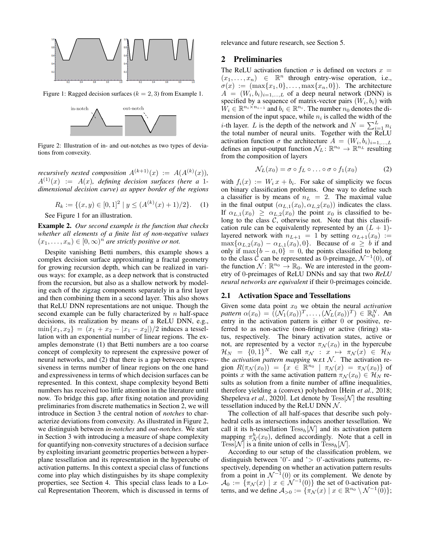<span id="page-1-0"></span>

<span id="page-1-2"></span>Figure 1: Ragged decision surfaces ( $k = 2, 3$ ) from Example [1.](#page-0-0)



Figure 2: Illustration of in- and out-notches as two types of deviations from convexity.

*recursively nested composition*  $A^{(k+1)}(x) := A(A^{(k)}(x))$ ,  $A^{(1)}(x) := A(x)$ , defining decision surfaces (here a 1*dimensional decision curve) as upper border of the regions*

$$
R_k := \{(x, y) \in [0, 1]^2 \mid y \le (A^{(k)}(x) + 1)/2\}.
$$
 (1)

See Figure [1](#page-1-0) for an illustration.

<span id="page-1-3"></span>Example 2. *Our second example is the function that checks whether all elements of a finite list of non-negative values*  $(x_1, \ldots, x_n) \in [0, \infty)^n$  are strictly positive or not.

Despite vanishing Betti numbers, this example shows a complex decision surface approximating a fractal geometry for growing recursion depth, which can be realized in various ways: for example, as a deep network that is constructed from the recursion, but also as a shallow network by modeling each of the zigzag components separately in a first layer and then combining them in a second layer. This also shows that ReLU DNN representations are not unique. Though the second example can be fully characterized by  $n$  half-space decisions, its realization by means of a ReLU DNN, e.g.,  $\min\{x_1, x_2\} = (x_1 + x_2 - |x_1 - x_2|)/2$  induces a tessellation with an exponential number of linear regions. The examples demonstrate (1) that Betti numbers are a too coarse concept of complexity to represent the expressive power of neural networks, and (2) that there is a gap between expressiveness in terms number of linear regions on the one hand and expressiveness in terms of which decision surfaces can be represented. In this context, shape complexity beyond Betti numbers has received too little attention in the literature until now. To bridge this gap, after fixing notation and providing preliminaries from discrete mathematics in Section [2,](#page-1-1) we will introduce in Section [3](#page-2-0) the central notion of *notches* to characterize deviations from convexity. As illustrated in Figure [2,](#page-1-2) we distinguish between *in-notches* and *out-notches*. We start in Section [3](#page-2-0) with introducing a measure of shape complexity for quantifying non-convexity structures of a decision surface by exploiting invariant geometric properties between a hyperplane tessellation and its representation in the hypercube of activation patterns. In this context a special class of functions come into play which distinguishes by its shape complexity properties, see Section [4.](#page-3-0) This special class leads to a Local Representation Theorem, which is discussed in terms of relevance and future research, see Section [5.](#page-5-0)

# <span id="page-1-1"></span>2 Preliminaries

The ReLU activation function  $\sigma$  is defined on vectors  $x =$  $(x_1, \ldots, x_n) \in \mathbb{R}^n$  through entry-wise operation, i.e.,  $\sigma(x) := (\max\{x_1, 0\}, \ldots, \max\{x_n, 0\}).$  The architecture  $A = (W_i, b_i)_{i=1,...,L}$  of a deep neural network (DNN) is specified by a sequence of matrix-vector pairs  $(W_i, b_i)$  with  $W_i \in \mathbb{R}^{n_i \times n_{i-1}}$  and  $b_i \in \mathbb{R}^{n_i}$ . The number  $n_0$  denotes the dimension of the input space, while  $n_i$  is called the width of the *i*-th layer. L is the depth of the network and  $N = \sum_{i=1}^{L} n_i$ the total number of neural units. Together with the ReLU activation function  $\sigma$  the architecture  $A = (W_i, b_i)_{i=1,...,L}$ defines an input-output function  $\mathcal{N}_L \colon \mathbb{R}^{n_0} \to \mathbb{R}^{n_L}$  resulting from the composition of layers

$$
\mathcal{N}_L(x_0) = \sigma \circ f_L \circ \ldots \circ \sigma \circ f_1(x_0) \tag{2}
$$

with  $f_i(x) := W_i x + b_i$ . For sake of simplicity we focus on binary classification problems. One way to define such a classifier is by means of  $n_L = 2$ . The maximal value in the final output  $(\alpha_{L,1}(x_0), \alpha_{L,2}(x_0))$  indicates the class. If  $\alpha_{L,1}(x_0) \geq \alpha_{L,2}(x_0)$  the point  $x_0$  is classified to belong to the class  $C$ , otherwise not. Note that this classification rule can be equivalently represented by an  $(L + 1)$ layered network with  $n_{L+1} = 1$  by setting  $\alpha_{L+1}(x_0) :=$  $\max{\{\alpha_{L,2}(x_0) - \alpha_{L,1}(x_0), 0\}}$ . Because of  $a \geq b$  if and only if  $\max\{b - a, 0\} = 0$ , the points classified to belong to the class  $\hat{C}$  can be represented as 0-preimage,  $\mathcal{N}^{-1}(0)$ , of the function  $\mathcal{N} \colon \mathbb{R}^{n_0} \to \mathbb{R}_0$ . We are interested in the geometry of 0-preimages of ReLU DNNs and say that two *ReLU neural networks are equivalent* if their 0-preimages coincide.

#### 2.1 Activation Space and Tessellations

Given some data point  $x_0$  we obtain the neural *activation pattern*  $\alpha(x_0) = ((\mathcal{N}_1(x_0))^T, \dots, (\mathcal{N}_L(x_0))^T) \in \mathbb{R}_0^N$ . An entry in the activation pattern is either 0 or positive, referred to as non-active (non-firing) or active (firing) status, respectively. The binary activation states, active or not, are represented by a vector  $\pi_{\mathcal{N}}(x_0)$  in the hypercube  $\mathcal{H}_N = \{0,1\}^N$ . We call  $\pi_\mathcal{N} : x \mapsto \pi_\mathcal{N}(x) \in \mathcal{H}_N$ the *activation pattern mapping* w.r.t  $N$ . The activation region  $R(\pi_{\mathcal{N}}(x_0)) = \{x \in \mathbb{R}^{n_0} \mid \pi_{\mathcal{N}}(x) = \pi_{\mathcal{N}}(x_0)\}\$  of points x with the same activation pattern  $\pi_{\mathcal{N}}(x_0) \in \mathcal{H}_N$  results as solution from a finite number of affine inequalities, therefore yielding a (convex) polyhedron [Hein *et al.*[, 2018;](#page-6-14) [Shepeleva](#page-6-15) *et al.*, 2020]. Let denote by  $Tess[\mathcal{N}]$  the resulting tessellation induced by the ReLU DNN  $N$ .

The collection of all half-spaces that describe such polyhedral cells as intersections induces another tessellation. We call it its h-tessellation  $Tess_h[\mathcal{N}]$  and its activation pattern mapping  $\pi_N^h(x_0)$ , defined accordingly. Note that a cell in Tess[N] is a finite union of cells in  $Tens_h[N]$ .

According to our setup of the classification problem, we distinguish between '0'- and ' $> 0$ '-activations patterns, respectively, depending on whether an activation pattern results from a point in  $\mathcal{N}^{-1}(0)$  or its complement. We denote by  $\mathcal{A}_0 := \{ \pi_{\mathcal{N}}(x) \mid x \in \mathcal{N}^{-1}(0) \}$  the set of 0-activation patterns, and we define  $A_{>0} := \{ \pi_N(x) \mid x \in \mathbb{R}^{n_0} \setminus \mathcal{N}^{-1}(0) \};$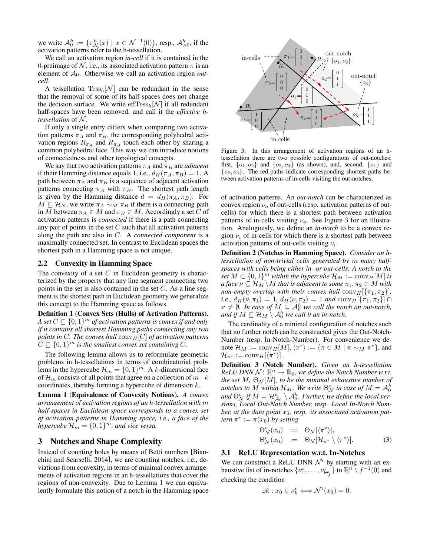we write  $A_0^h := \{ \pi_N^h(x) \mid x \in \mathcal{N}^{-1}(0) \},$  resp.,  $A_{>0}^h$ , if the activation patterns refer to the h-tessellation.

We call an activation region *in-cell* if it is contained in the 0-preimage of N, i.e., its associated activation pattern  $\pi$  is an element of A0. Otherwise we call an activation region *outcell*.

A tessellation  $Tess_h[\mathcal{N}]$  can be redundant in the sense that the removal of some of its half-spaces does not change the decision surface. We write  $\text{effTess}_h[\mathcal{N}]$  if all redundant half-spaces have been removed, and call it the *effective htessellation* of N .

If only a single entry differs when comparing two activation patterns  $\pi_A$  and  $\pi_B$ , the corresponding polyhedral activation regions  $R_{\pi_A}$  and  $R_{\pi_B}$  touch each other by sharing a common polyhedral face. This way we can introduce notions of connectedness and other topological concepts.

We say that two activation patterns  $\pi_A$  and  $\pi_B$  are *adjacent* if their Hamming distance equals 1, i.e.,  $d_H(\pi_A, \pi_B) = 1$ . A path between  $\pi_A$  and  $\pi_B$  is a sequence of adjacent activation patterns connecting  $\pi_A$  with  $\pi_B$ . The shortest path length is given by the Hamming distance  $d = d_H(\pi_A, \pi_B)$ . For  $M \subseteq \mathcal{H}_N$ , we write  $\pi_A \sim_M \pi_B$  if there is a connecting path in M between  $\pi_A \in M$  and  $\pi_B \in M$ . Accordingly a set C of activation patterns is *connected* if there is a path connecting any pair of points in the set  $C$  such that all activation patterns along the path are also in C. A *connected component* is a maximally connected set. In contrast to Euclidean spaces the shortest path in a Hamming space is not unique.

### 2.2 Convexity in Hamming Space

The convexity of a set  $C$  in Euclidean geometry is characterized by the property that any line segment connecting two points in the set is also contained in the set  $C$ . As a line segment is the shortest path in Euclidean geometry we generalize this concept to the Hamming space as follows.

Definition 1 (Convex Sets (Hulls) of Activation Patterns). *A set*  $C \subseteq \{0,1\}^m$  *of activation patterns is convex if and only if it contains all shortest Hamming paths connecting any two points in C. The convex hull*  $\text{conv}_H[C]$  *of activation patterns*  $C \subseteq \{0,1\}^m$  is the smallest convex set containing  $\overline{C}$ .

The following lemma allows us to reformulate geometric problems in h-tessellations in terms of combinatorial problems in the hypercube  $\mathcal{H}_m = \{0, 1\}^m$ . A k-dimensional face of  $\mathcal{H}_m$  consists of all points that agree on a collection of  $m-k$ coordinates, thereby forming a hypercube of dimension  $k$ .

<span id="page-2-1"></span>Lemma 1 (Equivalence of Convexity Notions). *A convex arrangement of activation regions of an h-tessellation with* m *half-spaces in Euclidean space corresponds to a convex set of activation patterns in Hamming space, i.e., a face of the*  $\mathcal{H}_m = \{0,1\}^m$ *, and vice versa.* 

# <span id="page-2-0"></span>3 Notches and Shape Complexity

Instead of counting holes by means of Betti numbers [\[Bian](#page-6-12)[chini and Scarselli, 2014\]](#page-6-12), we are counting notches, i.e., deviations from convexity, in terms of minimal convex arrangements of activation regions in an h-tessellations that cover the regions of non-convexity. Due to Lemma [1](#page-2-1) we can equivalently formulate this notion of a notch in the Hamming space

<span id="page-2-2"></span>

Figure 3: In this arrangement of activation regions of an htessellation there are two possible configurations of out-notches: first,  $\{o_1, o_2\}$  and  $\{o_2, o_3\}$  (as shown), and, second,  $\{o_1\}$  and  ${o_2, o_3}$ . The red paths indicate corresponding shortest paths between activation patterns of in-cells visiting the out-notches.

of activation patterns. An *out-notch* can be characterized as convex region  $\nu_o$  of out-cells (resp. activation patterns of outcells) for which there is a shortest path between activation patterns of in-cells visiting  $\nu$ <sub>o</sub>. See Figure [3](#page-2-2) for an illustration. Analogously, we define an *in-notch* to be a convex region  $\nu$  of in-cells for which there is a shortest path between activation patterns of out-cells visiting  $\nu_{\iota}$ .

Definition 2 (Notches in Hamming Space). *Consider an htessellation of non-trivial cells generated by* m *many halfspaces with cells being either in- or out-cells. A notch to the set*  $M \subset \{0,1\}^m$  *within the hypercube*  $\mathcal{H}_M := \text{conv}_H[M]$  *is a face*  $\nu \subseteq \mathcal{H}_M \setminus M$  *that is adjacent to some*  $\pi_1, \pi_2 \in M$  *with non-empty overlap with their convex hull*  $\text{conv}_H[\{\pi_1, \pi_2\}]$ *, i.e.,*  $d_H(\nu, \pi_1) = 1$ *,*  $d_H(\nu, \pi_2) = 1$  *and*  $\text{conv}_H[\{\pi_1, \pi_2\}] \cap$  $\nu \neq \emptyset$ . In case of  $M \subseteq \mathcal{A}_0^h$  we call the notch an out-notch, and if  $M \subseteq \mathcal{H}_M \setminus \mathcal{A}_0^h$  we call it an in-notch.

The cardinality of a minimal configuration of notches such that no further notch can be constructed gives the Out-Notch-Number (resp. In-Notch-Number). For convenience we denote  $\mathcal{H}_M := \text{conv}_H[M], \langle \pi^* \rangle := \{ \pi \in M \mid \pi \sim_M \pi^* \},$  and  ${\mathcal H}_{\pi^*}:=\operatorname{conv}_H[\langle\pi^*\rangle].$ 

Definition 3 (Notch Number). *Given an h-tessellation*  $ReLU$  *DNN*  $N: \mathbb{R}^n \to \mathbb{R}_0$ , we define the Notch Number w.r.t. *the set*  $M$ *,*  $\Theta_N[M]$ *, to be the minimal exhaustive number of*  $\mu$  *notches to*  $M$  *within*  $\mathcal{H}_M$ *. We write*  $\Theta_N^o$  *in case of*  $M = \mathcal{A}_0^h$ *and*  $\Theta_N$  *if*  $M = \mathcal{H}_{A_0}^h \setminus A_0^h$ . Further, we define the local ver*sions, Local Out-Notch Number, resp. Local In-Notch Num*ber, at the data point  $x_0$ , resp. its associated activation pat*tern*  $\pi^* := \pi(x_0)$  *by setting* 

$$
\Theta_{\mathcal{N}}^o(x_0) := \Theta_{\mathcal{N}}[\langle \pi^* \rangle], \n\Theta_{\mathcal{N}}^i(x_0) := \Theta_{\mathcal{N}}[\mathcal{H}_{\pi^*} \setminus \langle \pi^* \rangle].
$$
\n(3)

#### 3.1 ReLU Representation w.r.t. In-Notches

We can construct a ReLU DNN  $\mathcal{N}^{\iota}$  by starting with an exhaustive list of in-notches  $\{\nu_1^{\iota}, \dots, \nu_{\Theta_f^{\iota}}^{\iota}\}$  to  $\mathbb{R}^n \setminus f^{-1}(0)$  and checking the condition

$$
\exists k : x_0 \in \nu_k^{\iota} \Longleftrightarrow \mathcal{N}^{\iota}(x_0) = 0.
$$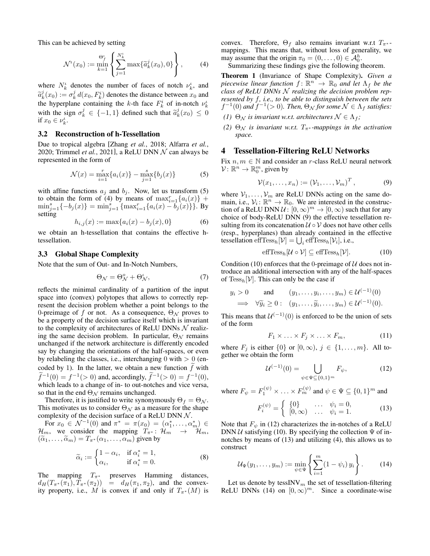This can be achieved by setting

<span id="page-3-2"></span>
$$
\mathcal{N}^{\iota}(x_0) := \min_{k=1}^{\Theta_f^{\iota}} \left\{ \sum_{j=1}^{N_k^{\iota}} \max \{ \widetilde{a}_k^j(x_0), 0 \} \right\}, \tag{4}
$$

where  $N_k^{\iota}$  denotes the number of faces of notch  $\nu_k^{\iota}$ , and  $\tilde{a}_k^j(x_0) := \sigma_k^j d(x_0, F_k^i)$  denotes the distance between  $x_0$  and the hyperplane containing the k th face  $F^i$  of in noteh  $\mu^i$ the hyperplane containing the k-th face  $F_k^i$  of in-notch  $\nu_k^i$ with the sign  $\sigma_k^j \in \{-1,1\}$  defined such that  $\tilde{a}_k^j(x_0) \leq 0$ if  $x_0 \in \nu_k^{\iota}$ .

#### 3.2 Reconstruction of h-Tessellation

Due to tropical algebra [\[Zhang](#page-6-16) *et al.*, 2018; [Alfarra](#page-5-1) *et al.*, [2020;](#page-5-1) [Trimmel](#page-6-17) *et al.*, 2021], a ReLU DNN  $N$  can always be represented in the form of

<span id="page-3-1"></span>
$$
\mathcal{N}(x) = \max_{i=1}^{r} \{a_i(x)\} - \max_{j=1}^{s} \{b_j(x)\} \tag{5}
$$

with affine functions  $a_j$  and  $b_j$ . Now, let us transform [\(5\)](#page-3-1) to obtain the form of [\(4\)](#page-3-2) by means of  $\max_{i=1}^r \{a_i(x)\}$  +  $\min_{j=1}^{s} \{-b_j(x)\} = \min_{j=1}^{s} \{\max_{i=1}^{r} \{a_i(x) - b_j(x)\}\}\.$  By setting

<span id="page-3-9"></span>
$$
h_{i,j}(x) := \max\{a_i(x) - b_j(x), 0\}
$$
 (6)

we obtain an h-tessellation that contains the effective htessellation.

# 3.3 Global Shape Complexity

Note that the sum of Out- and In-Notch Numbers,

$$
\Theta_{\mathcal{N}} = \Theta_{\mathcal{N}}^o + \Theta_{\mathcal{N}}^i,\tag{7}
$$

reflects the minimal cardinality of a partition of the input space into (convex) polytopes that allows to correctly represent the decision problem whether a point belongs to the 0-preimage of f or not. As a consequence,  $\Theta_N$  proves to be a property of the decision surface itself which is invariant to the complexity of architectures of ReLU DNNs  $\mathcal N$  realizing the same decision problem. In particular,  $\Theta_N$  remains unchanged if the network architecture is differently encoded say by changing the orientations of the half-spaces, or even by relabeling the classes, i.e., interchanging  $0$  with  $> 0$  (encoded by 1). In the latter, we obtain a new function  $\hat{f}$  with  $\tilde{f}^{-1}(0) = f^{-1}(0)$  and, accordingly,  $\tilde{f}^{-1}(0) = f^{-1}(0)$ , which leads to a change of in- to out-notches and vice versa, so that in the end  $\Theta_N$  remains unchanged.

Therefore, it is justified to write synonymously  $\Theta_f = \Theta_{\mathcal{N}}$ . This motivates us to consider  $\Theta_N$  as a measure for the shape complexity of the decision surface of a ReLU DNN  $\mathcal N$ .

For  $x_0 \in \mathcal{N}^{-1}(0)$  and  $\pi^* = \pi(x_0) = (\alpha_1^*, \dots, \alpha_m^*) \in$  $\mathcal{H}_m$ , we consider the mapping  $T_{\pi^*}$ :  $\mathcal{H}_m$   $\rightarrow$   $\mathcal{H}_m$ ,  $(\widetilde{\alpha}_1, \ldots, \widetilde{\alpha}_m) = T_{\pi^*}(\alpha_1, \ldots, \alpha_m)$  given by

<span id="page-3-10"></span>
$$
\widetilde{\alpha}_i := \begin{cases} 1 - \alpha_i, & \text{if } \alpha_i^* = 1, \\ \alpha_i, & \text{if } \alpha_i^* = 0. \end{cases}
$$
\n(8)

The mapping  $T_{\pi^*}$  preserves Hamming distances,  $d_H(T_{\pi^*}(\pi_1), T_{\pi^*}(\pi_2)) = d_H(\pi_1, \pi_2)$ , and the convexity property, i.e., M is convex if and only if  $T_{\pi^*}(M)$  is convex. Therefore,  $\Theta_f$  also remains invariant w.r.t  $T_{\pi^*}$ mappings. This means that, without loss of generality, we may assume that the origin  $\pi_0 = (0, \dots, 0) \in \mathcal{A}_0^h$ .

Summarizing these findings give the following theorem.

Theorem 1 (Invariance of Shape Complexity). *Given a piecewise linear function*  $f: \mathbb{R}^n \to \mathbb{R}_0$  and let  $\Lambda_f$  be the *class of ReLU DNNs* N *realizing the decision problem represented by* f*, i.e., to be able to distinguish between the sets*  $f^{-1}(0)$  and  $f^{-1}(>0)$ . Then,  $\Theta_{\mathcal{N}}$  for some  $\mathcal{N} \in \Lambda_f$  satisfies:

- *(1)*  $\Theta_N$  *is invariant w.r.t. architectures*  $N \in \Lambda_f$ ;
- *(2)*  $\Theta_N$  *is invariant w.r.t.*  $T_{\pi^*}$ *-mappings in the activation space.*

### <span id="page-3-0"></span>4 Tessellation-Filtering ReLU Networks

Fix  $n, m \in \mathbb{N}$  and consider an r-class ReLU neural network  $\mathcal{V}: \mathbb{R}^n \to \mathbb{R}^m_0$ , given by

<span id="page-3-3"></span>
$$
\mathcal{V}(x_1,\ldots,x_n):=(\mathcal{V}_1,\ldots,\mathcal{V}_m)^T, \qquad (9)
$$

where  $V_1, \ldots, V_m$  are ReLU DNNs acting on the same domain, i.e.,  $V_i: \mathbb{R}^n \to \mathbb{R}_0$ . We are interested in the construction of a ReLU DNN  $\mathcal{U}: [0, \infty)^m \to [0, \infty)$  such that for any choice of body-ReLU DNN [\(9\)](#page-3-3) the effective tessellation resulting from its concatenation  $U \circ V$  does not have other cells (resp., hyperplanes) than already contained in the effective tessellation  $\mathrm{effTess}_h[\mathcal{V}] = \bigcup_i \mathrm{effTess}_h[\mathcal{V}_i]$ , i.e.,

<span id="page-3-4"></span>
$$
\mathrm{eff} \mathrm{Tess}_h[\mathcal{U} \circ \mathcal{V}] \subseteq \mathrm{eff} \mathrm{Tess}_h[\mathcal{V}].\tag{10}
$$

Condition [\(10\)](#page-3-4) enforces that the 0-preimage of  $U$  does not introduce an additional intersection with any of the half-spaces of  $Tess_h[V]$ . This can only be the case if

<span id="page-3-8"></span>
$$
y_i > 0
$$
 and  $(y_1, \ldots, y_i, \ldots, y_m) \in \mathcal{U}^{(-1)}(0)$   
\n $\implies \forall \widetilde{y}_i \geq 0 : (y_1, \ldots, \widetilde{y}_i, \ldots, y_m) \in \mathcal{U}^{(-1)}(0).$ 

This means that  $U^{(-1)}(0)$  is enforced to be the union of sets of the form

<span id="page-3-5"></span>
$$
F_1 \times \ldots \times F_j \times \ldots \times F_m, \tag{11}
$$

where  $F_j$  is either  $\{0\}$  or  $[0, \infty)$ ,  $j \in \{1, \ldots, m\}$ . All together we obtain the form

<span id="page-3-6"></span>
$$
\mathcal{U}^{(-1)}(0) = \bigcup_{\psi \in \Psi \subseteq \{0,1\}^m} F_{\psi},\tag{12}
$$

where  $F_{\psi} = F_1^{(\psi)} \times \ldots \times F_m^{(\psi)}$  and  $\psi \in \Psi \subseteq \{0, 1\}^m$  and

$$
F_i^{(\psi)} = \begin{cases} \{0\} & \dots & \psi_i = 0, \\ [0, \infty) & \dots & \psi_i = 1. \end{cases}
$$
 (13)

Note that  $F_{\psi}$  in [\(12\)](#page-3-5) characterizes the in-notches of a ReLU DNN  $U$  satisfying [\(10\)](#page-3-4). By specifying the collection  $\Psi$  of innotches by means of [\(13\)](#page-3-6) and utilizing [\(4\)](#page-3-2), this allows us to construct

<span id="page-3-7"></span>
$$
\mathcal{U}_{\Psi}(y_1,\ldots,y_m) := \min_{\psi \in \Psi} \left\{ \sum_{i=1}^m (1 - \psi_i) y_i \right\}.
$$
 (14)

Let us denote by tessINV $_m$  the set of tessellation-filtering ReLU DNNs [\(14\)](#page-3-7) on  $[0, \infty)^m$ . Since a coordinate-wise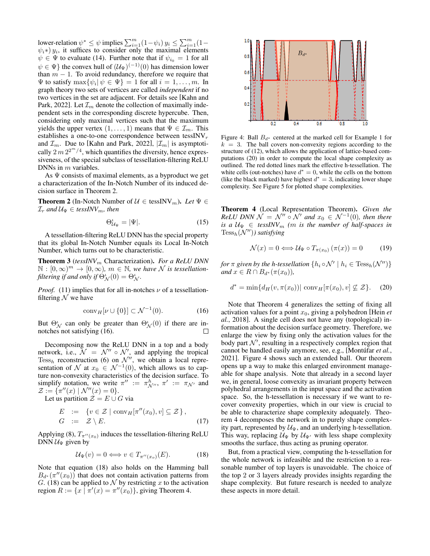lower-relation  $\psi^* \leq \psi$  implies  $\sum_{i=1}^m (1 - \psi_i) y_i \leq \sum_{i=1}^m (1 - \psi_i) y_i$  $\psi_i *$ )  $y_i$ , it suffices to consider only the maximal elements  $\psi \in \Psi$  to evaluate [\(14\)](#page-3-7). Further note that if  $\psi_{i_0} = 1$  for all  $\psi \in \Psi$ } the convex hull of  $(\mathcal{U}_{\Psi})^{(-1)}(0)$  has dimension lower than  $m - 1$ . To avoid redundancy, therefore we require that  $\Psi$  to satisfy  $\max\{\psi_i | \psi \in \Psi\} = 1$  for all  $i = 1, \ldots, m$ . In graph theory two sets of vertices are called *independent* if no two vertices in the set are adjacent. For details see [\[Kahn and](#page-6-18) [Park, 2022\]](#page-6-18). Let  $\mathcal{I}_m$  denote the collection of maximally independent sets in the corresponding discrete hypercube. Then, considering only maximal vertices such that the maximum yields the upper vertex  $(1, \ldots, 1)$  means that  $\Psi \in \mathcal{I}_m$ . This establishes a one-to-one correspondence between tessINV $_r$ and  $\mathcal{I}_m$ . Due to [\[Kahn and Park, 2022\]](#page-6-18),  $|\mathcal{I}_m|$  is asymptotically  $2m 2^{2m/4}$ , which quantifies the diversity, hence expressiveness, of the special subclass of tessellation-filtering ReLU DNNs in *m* variables.

As  $\Psi$  consists of maximal elements, as a byproduct we get a characterization of the In-Notch Number of its induced decision surface in Theorem [2.](#page-4-0)

<span id="page-4-0"></span>**Theorem 2** (In-Notch Number of  $\mathcal{U} \in \text{tessINV}_m$ ). Let  $\Psi \in$  $\mathcal{I}_r$  and  $\mathcal{U}_{\Psi} \in \text{tess} N V_m$ , then

$$
\Theta_{\mathcal{U}_{\Psi}}^{\iota} = |\Psi|.
$$
 (15)

A tessellation-filtering ReLU DNN has the special property that its global In-Notch Number equals its Local In-Notch Number, which turns out to be characteristic.

Theorem 3 (*tessINV*<sup>m</sup> Characterization). *For a ReLU DNN*  $\mathbb{N} : [0, \infty)^m \to [0, \infty)$ ,  $m \in \mathbb{N}$ , we have N is tessellation*filtering if and only if*  $\dot{\Theta}_\mathcal{N}^i(0) = \Theta_\mathcal{N}^i$ .

*Proof.* [\(11\)](#page-3-8) implies that for all in-notches  $\nu$  of a tessellationfiltering  $N$  we have

<span id="page-4-1"></span>
$$
conv_H[\nu \cup \{0\}] \subset \mathcal{N}^{-1}(0). \tag{16}
$$

But  $\Theta_N^{\iota}$  can only be greater than  $\Theta_N^{\iota}(0)$  if there are innotches not satisfying [\(16\)](#page-4-1).

Decomposing now the ReLU DNN in a top and a body network, i.e.,  $\mathcal{N} = \mathcal{N}^{\prime\prime} \circ \mathcal{N}^{\prime}$ , and applying the tropical Tess<sub>h</sub> reconstruction [\(6\)](#page-3-9) on  $\mathcal{N}''$ , we obtain a local representation of N at  $x_0 \in \mathcal{N}^{-1}(0)$ , which allows us to capture non-convexity characteristics of the decision surface. To simplify notation, we write  $\pi'' := \pi^h_{\mathcal{N}''}, \pi' := \pi_{\mathcal{N}'}$  and  $\mathcal{Z} := \{ \pi''(x) \mid \mathcal{N}''(x) = 0 \}.$ 

Let us partition  $\mathcal{Z} = E \cup G$  via

<span id="page-4-6"></span>
$$
E := \{ v \in \mathcal{Z} \mid \text{conv}_H[\pi''(x_0), v] \subseteq \mathcal{Z} \},
$$
  
\n
$$
G := \mathcal{Z} \setminus E.
$$
 (17)

Applying [\(8\)](#page-3-10),  $T_{\pi''(x_0)}$  induces the tessellation-filtering ReLU DNN  $\mathcal{U}_{\Psi}$  given by

<span id="page-4-2"></span>
$$
\mathcal{U}_{\Psi}(v) = 0 \Longleftrightarrow v \in T_{\pi''(x_o)}(E). \tag{18}
$$

Note that equation [\(18\)](#page-4-2) also holds on the Hamming ball  $B_{d^*}(\pi''(x_0))$  that does not contain activation patterns from G. [\(18\)](#page-4-2) can be applied to N by restricting x to the activation region  $R := \{x \mid \pi'(x) = \pi''(x_0)\}\$ , giving Theorem [4.](#page-4-3)

<span id="page-4-5"></span>

Figure 4: Ball  $B_{d^*}$  centered at the marked cell for Example [1](#page-0-0) for  $k = 3$ . The ball covers non-convexity regions according to the structure of [\(12\)](#page-3-5), which allows the application of lattice-based computations [\(20\)](#page-4-4) in order to compute the local shape complexity as outlined. The red dotted lines mark the effective h-tessellation. The white cells (out-notches) have  $d^* = 0$ , while the cells on the bottom (like the black marked) have highest  $d^* = 3$ , indicating lower shape complexity. See Figure [5](#page-5-2) for plotted shape complexities.

<span id="page-4-3"></span>Theorem 4 (Local Representation Theorem). *Given the ReLU DNN*  $\mathcal{N} = \mathcal{N}'' \circ \mathcal{N}'$  and  $x_0 \in \mathcal{N}^{-1}(0)$ , then there *is a*  $U_{\Psi} \in$  *tessINV<sub>m</sub>* (*m is the number of half-spaces in*  $Tess_h(\mathcal{N}'')$ ) satisfying

<span id="page-4-4"></span>
$$
\mathcal{N}(x) = 0 \Longleftrightarrow \mathcal{U}_{\Psi} \circ T_{\pi(x_0)} (\pi(x)) = 0 \tag{19}
$$

*for*  $\pi$  given by the h-tessellation  $\{h_i \circ \mathcal{N}' \mid h_i \in \text{Tess}_h(\mathcal{N}'')\}$ *and*  $x \in R \cap B_{d^*}(\pi(x_0))$ ,

$$
d^* = \min\{d_H(v, \pi(x_0)) | \operatorname{conv}_H[\pi(x_0), v] \not\subseteq \mathcal{Z}\}.
$$
 (20)

Note that Theorem [4](#page-4-3) generalizes the setting of fixing all activation values for a point  $x_0$ , giving a polyhedron [\[Hein](#page-6-14)  $et$ *al.*[, 2018\]](#page-6-14). A single cell does not have any (topological) information about the decision surface geometry. Therefore, we enlarge the view by fixing only the activation values for the body part  $\mathcal{N}'$ , resulting in a respectively complex region that cannot be handled easily anymore, see, e.g., [Montúfar et al., [2021\]](#page-6-9). Figure [4](#page-4-5) shows such an extended ball. Our theorem opens up a way to make this enlarged environment manageable for shape analysis. Note that already in a second layer we, in general, loose convexity as invariant property between polyhedral arrangements in the input space and the activation space. So, the h-tessellation is necessary if we want to recover convexity properties, which in our view is crucial to be able to characterize shape complexity adequately. Theorem [4](#page-4-3) decomposes the network in to purely shape complexity part, represented by  $\mathcal{U}_{\Psi}$ , and an underlying h-tessellation. This way, replacing  $U_{\Psi}$  by  $U_{\Psi'}$  with less shape complexity smooths the surface, thus acting as pruning operator.

But, from a practical view, computing the h-tessellation for the whole network is infeasible and the restriction to a reasonable number of top layers is unavoidable. The choice of the top 2 or 3 layers already provides insights regarding the shape complexity. But future research is needed to analyze these aspects in more detail.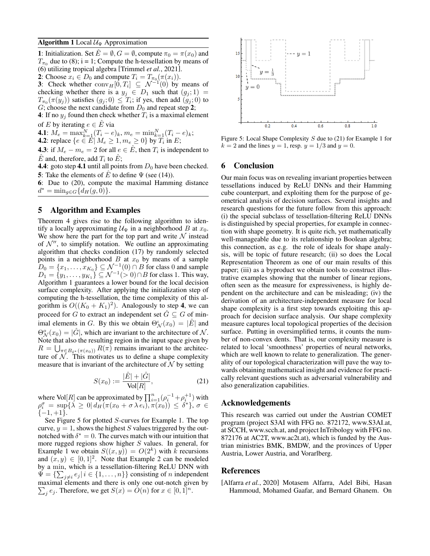### <span id="page-5-3"></span>**Algorithm 1** Local  $U_{\Psi}$  Approximation

1: Initialization. Set  $\hat{E} = \emptyset$ ,  $G = \emptyset$ , compute  $\pi_0 = \pi(x_0)$  and  $T_{\pi_0}$  due to [\(8\)](#page-3-10); i = 1; Compute the h-tessellation by means of [\(6\)](#page-3-9) utilizing tropical algebra [\[Trimmel](#page-6-17) *et al.*, 2021]. 2: Choose  $x_i \in D_0$  and compute  $T_i = T_{\pi_0}(\pi(x_i)).$ 

3: Check whether  $\text{conv}_H[0, T_i] \subseteq \mathcal{N}^{-1}(0)$  by means of checking whether there is a  $y_j \in D_1$  such that  $(g_j; 1)$  =  $T_{\pi_0}(\pi(y_j))$  satisfies  $(g_j;0) \leq T_i$ ; if yes, then add  $(g_j;0)$  to G; choose the next candidate from  $D_0$  and repeat step 2;

4: If no  $y_j$  found then check whether  $T_i$  is a maximal element of E by iterating  $e \in \hat{E}$  via

**4.1**:  $M_e = \max_{k=1}^{N} (T_i - e)_k, m_e = \min_{k=1}^{N} (T_i - e)_k;$ 

**4.2**: replace 
$$
\{e \in E | M_e \geq 1, m_e \geq 0\}
$$
 by  $T_i$  in  $E$ ;

**4.3**: if  $M_e - m_e = 2$  for all  $e \in \hat{E}$ , then  $T_i$  is independent to  $\hat{E}$  and, therefore, add  $T_i$  to  $\hat{E}$ ;

4.4: goto step 4.1 until all points from  $D_0$  have been checked. 5: Take the elements of  $\overline{E}$  to define  $\Psi$  (see [\(14\)](#page-3-7)).

6: Due to [\(20\)](#page-4-4), compute the maximal Hamming distance  $d^* = \min_{g \in G} \{ d_H(g, 0) \}.$ 

# <span id="page-5-0"></span>5 Algorithm and Examples

Theorem [4](#page-4-3) gives rise to the following algorithm to identify a locally approximating  $\mathcal{U}_{\Psi}$  in a neighborhood B at  $x_0$ . We show here the part for the top part and write  $N$  instead of  $\mathcal{N}''$ , to simplify notation. We outline an approximating algorithm that checks condition [\(17\)](#page-4-6) by randomly selected points in a neighborhood  $B$  at  $x_0$  by means of a sample  $D_0 = \{x_1, \ldots, x_{K_0}\} \subseteq \mathcal{N}^{-1}(0) \cap B$  for class 0 and sample  $D_1 = \{y_1, \ldots, y_{K_1}\}\subseteq \mathcal{N}^{-1}(\geq 0) \cap B$  for class 1. This way, Algorithm [1](#page-5-3) guarantees a lower bound for the local decision surface complexity. After applying the initialization step of computing the h-tessellation, the time complexity of this algorithm is  $O((K_0 + K_1)^2)$ . Analogously to step 4, we can proceed for G to extract an independent set  $G \subseteq G$  of minimal elements in G. By this we obtain  $\Theta_N^{\iota}(x_0) = |\hat{E}|$  and  $\Theta_N^o(x_0) = |\hat{G}|$ , which are invariant to the architecture of N. Note that also the resulting region in the input space given by  $R = \bigcup_{\pi \in B_{\delta^*}(\pi(x_0))} R(\pi)$  remains invariant to the architecture of  $N$ . This motivates us to define a shape complexity measure that is invariant of the architecture of  $\mathcal N$  by setting

$$
S(x_0) := \frac{|\hat{E}| + |\hat{G}|}{\text{Vol}[R]},
$$
\n(21)

where Vol[*R*] can be approximated by  $\prod_{i=1}^{n} (\rho_i^{-1} + \rho_i^{+1})$  with  $\rho_i^{\sigma} = \sup \{ \lambda \geq 0 \mid d_H(\pi(x_0 + \sigma \lambda e_i), \pi(x_0)) \leq \delta^* \}, \sigma \in$  $\{-1, +1\}.$ 

See Figure [5](#page-5-2) for plotted S-curves for Example [1.](#page-0-0) The top curve,  $y = 1$ , shows the highest S values triggered by the outnotched with  $\delta^* = 0$ . The curves match with our intuition that more rugged regions show higher S values. In general, for Example [1](#page-0-0) we obtain  $S((x, y)) = O(2^k)$  with k recursions and  $(x, y) \in [0, 1]^2$ . Note that Example [2](#page-1-3) can be modeled by a min, which is a tessellation-filtering ReLU DNN with  $\Psi = \{\sum_{j \neq i} e_j | i \in \{1, ..., n\}\}\$ consisting of n independent maximal elements and there is only one out-notch given by  $\sum_j e_j$ . Therefore, we get  $S(x) = O(n)$  for  $x \in [0,1]^n$ .

<span id="page-5-2"></span>

Figure 5: Local Shape Complexity S due to [\(21\)](#page-5-4) for Example [1](#page-0-0) for  $k = 2$  and the lines  $y = 1$ , resp.  $y = 1/3$  and  $y = 0$ .

# 6 Conclusion

Our main focus was on revealing invariant properties between tessellations induced by ReLU DNNs and their Hamming cube counterpart, and exploiting them for the purpose of geometrical analysis of decision surfaces. Several insights and research questions for the future follow from this approach: (i) the special subclass of tessellation-filtering ReLU DNNs is distinguished by special properties, for example in connection with shape geometry. It is quite rich, yet mathematically well-manageable due to its relationship to Boolean algebra; this connection, as e.g. the role of ideals for shape analysis, will be topic of future research; (ii) so does the Local Representation Theorem as one of our main results of this paper; (iii) as a byproduct we obtain tools to construct illustrative examples showing that the number of linear regions, often seen as the measure for expressiveness, is highly dependent on the architecture and can be misleading; (iv) the derivation of an architecture-independent measure for local shape complexity is a first step towards exploiting this approach for decision surface analysis. Our shape complexity measure captures local topological properties of the decision surface. Putting in oversimplified terms, it counts the number of non-convex dents. That is, our complexity measure is related to local 'smoothness' properties of neural networks, which are well known to relate to generalization. The generality of our topological characterization will pave the way towards obtaining mathematical insight and evidence for practically relevant questions such as adversarial vulnerability and also generalization capabilities.

# <span id="page-5-4"></span>Acknowledgements

This research was carried out under the Austrian COMET program (project S3AI with FFG no. 872172, www.S3AI.at, at SCCH, www.scch.at, and project InTribology with FFG no. 872176 at AC2T, www.ac2t.at), which is funded by the Austrian ministries BMK, BMDW, and the provinces of Upper Austria, Lower Austria, and Vorarlberg.

# References

<span id="page-5-1"></span>[Alfarra *et al.*, 2020] Motasem Alfarra, Adel Bibi, Hasan Hammoud, Mohamed Gaafar, and Bernard Ghanem. On